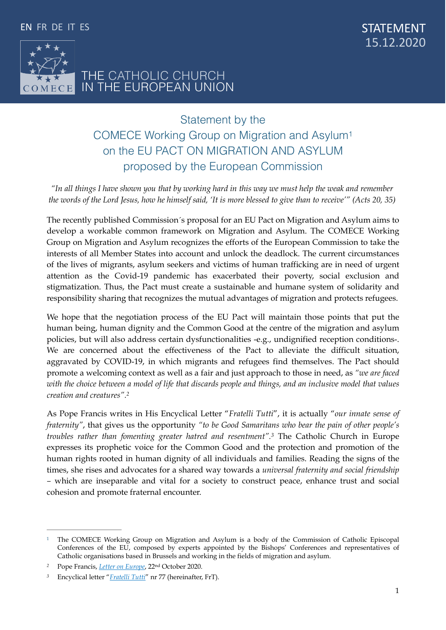

<span id="page-0-3"></span>STATEMENT 15.12.2020

## THE CATHOLIC CHURCH IN THE EUROPEAN UNION

# Statement by the COMECE Working Group on Migration and Asylum [1](#page-0-0) on the EU PACT ON MIGRATION AND ASYLUM proposed by the European Commission

*"In all things I have shown you that by working hard in this way we must help the weak and remember the words of the Lord Jesus, how he himself said, 'It is more blessed to give than to receive'" (Acts 20, 35)* 

The recently published Commission´s proposal for an EU Pact on Migration and Asylum aims to develop a workable common framework on Migration and Asylum. The COMECE Working Group on Migration and Asylum recognizes the efforts of the European Commission to take the interests of all Member States into account and unlock the deadlock. The current circumstances of the lives of migrants, asylum seekers and victims of human trafficking are in need of urgent attention as the Covid-19 pandemic has exacerbated their poverty, social exclusion and stigmatization. Thus, the Pact must create a sustainable and humane system of solidarity and responsibility sharing that recognizes the mutual advantages of migration and protects refugees.

We hope that the negotiation process of the EU Pact will maintain those points that put the human being, human dignity and the Common Good at the centre of the migration and asylum policies, but will also address certain dysfunctionalities -e.g., undignified reception conditions-. We are concerned about the effectiveness of the Pact to alleviate the difficult situation, aggravated by COVID-19, in which migrants and refugees find themselves. The Pact should promote a welcoming context as well as a fair and just approach to those in need, as *"we are faced with the choice between a model of life that discards people and things, and an inclusive model that values creation and creatures".[2](#page-0-1)*

<span id="page-0-5"></span><span id="page-0-4"></span>As Pope Francis writes in His Encyclical Letter "*Fratelli Tutti*", it is actually "*our innate sense of fraternity"*, that gives us the opportunity *"to be Good Samaritans who bear the pain of other people's troubles rather than fomenting greater hatred and resentment".*<sup>[3](#page-0-2)</sup> The Catholic Church in Europe expresses its prophetic voice for the Common Good and the protection and promotion of the human rights rooted in human dignity of all individuals and families. Reading the signs of the times, she rises and advocates for a shared way towards a *universal fraternity and social friendship –* which are inseparable and vital for a society to construct peace, enhance trust and social cohesion and promote fraternal encounter.

<span id="page-0-0"></span><sup>&</sup>lt;sup>[1](#page-0-3)</sup> The COMECE Working Group on Migration and Asylum is a body of the Commission of Catholic Episcopal Conferences of the EU, composed by experts appointed by the Bishops' Conferences and representatives of Catholic organisations based in Brussels and working in the fields of migration and asylum.

<span id="page-0-1"></span>Pope Francis, *[Letter on Europe](http://www.vatican.va/content/francesco/en/letters/2020/documents/papa-francesco_20201022_lettera-parolin-europa.html)*, 22nd October 2020. *[2](#page-0-4)*

<span id="page-0-2"></span>Encyclical letter "*[Fratelli Tutti](http://www.vatican.va/content/francesco/en/encyclicals/documents/papa-francesco_20201003_enciclica-fratelli-tutti.html)*" nr 77 (hereinafter, FrT). *[3](#page-0-5)*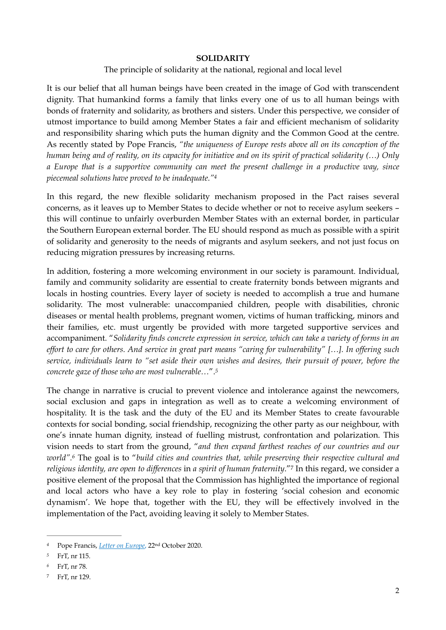#### <span id="page-1-4"></span>**SOLIDARITY**

#### The principle of solidarity at the national, regional and local level

It is our belief that all human beings have been created in the image of God with transcendent dignity. That humankind forms a family that links every one of us to all human beings with bonds of fraternity and solidarity, as brothers and sisters. Under this perspective, we consider of utmost importance to build among Member States a fair and efficient mechanism of solidarity and responsibility sharing which puts the human dignity and the Common Good at the centre. As recently stated by Pope Francis, *"the uniqueness of Europe rests above all on its conception of the human being and of reality, on its capacity for initiative and on its spirit of practical solidarity (…) Only a Europe that is a supportive community can meet the present challenge in a productive way, since piecemeal solutions have proved to be inadequate."[4](#page-1-0)*

In this regard, the new flexible solidarity mechanism proposed in the Pact raises several concerns, as it leaves up to Member States to decide whether or not to receive asylum seekers – this will continue to unfairly overburden Member States with an external border, in particular the Southern European external border. The EU should respond as much as possible with a spirit of solidarity and generosity to the needs of migrants and asylum seekers, and not just focus on reducing migration pressures by increasing returns.

In addition, fostering a more welcoming environment in our society is paramount. Individual, family and community solidarity are essential to create fraternity bonds between migrants and locals in hosting countries. Every layer of society is needed to accomplish a true and humane solidarity. The most vulnerable: unaccompanied children, people with disabilities, chronic diseases or mental health problems, pregnant women, victims of human trafficking, minors and their families, etc. must urgently be provided with more targeted supportive services and accompaniment. "*Solidarity finds concrete expression in service, which can take a variety of forms in an effort to care for others. And service in great part means "caring for vulnerability" […]. In offering such service, individuals learn to "set aside their own wishes and desires, their pursuit of power, before the concrete gaze of those who are most vulnerable…*".*[5](#page-1-1)*

<span id="page-1-7"></span><span id="page-1-6"></span><span id="page-1-5"></span>The change in narrative is crucial to prevent violence and intolerance against the newcomers, social exclusion and gaps in integration as well as to create a welcoming environment of hospitality. It is the task and the duty of the EU and its Member States to create favourable contexts for social bonding, social friendship, recognizing the other party as our neighbour, with one's innate human dignity, instead of fuelling mistrust, confrontation and polarization. This vision needs to start from the ground, "*and then expand farthest reaches of our countries and our world".*<sup>[6](#page-1-2)</sup> The goal is to "build cities and countries that, while preserving their respective cultural and *religious identity, are open to differences* in *a spirit of human fraternity*." In this regard, we consider a [7](#page-1-3) positive element of the proposal that the Commission has highlighted the importance of regional and local actors who have a key role to play in fostering 'social cohesion and economic dynamism'. We hope that, together with the EU, they will be effectively involved in the implementation of the Pact, avoiding leaving it solely to Member States.

<span id="page-1-0"></span>Pope Francis, *[Letter on Europe](http://www.vatican.va/content/francesco/en/letters/2020/documents/papa-francesco_20201022_lettera-parolin-europa.html)*, 22nd October 2020. *[4](#page-1-4)*

<span id="page-1-1"></span>FrT, nr 115. *[5](#page-1-5)*

<span id="page-1-2"></span>FrT, nr 78*. [6](#page-1-6)*

<span id="page-1-3"></span>FrT, nr 129. [7](#page-1-7)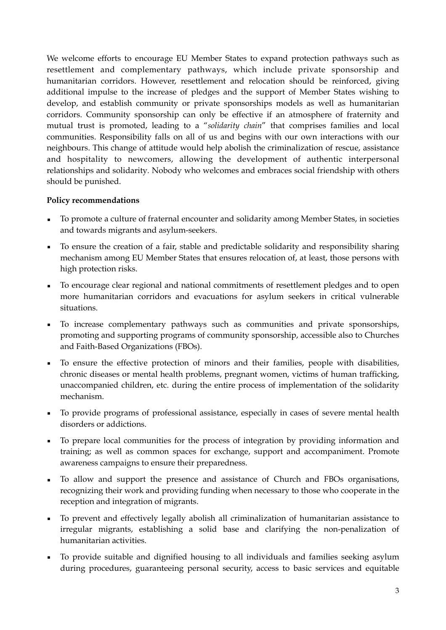We welcome efforts to encourage EU Member States to expand protection pathways such as resettlement and complementary pathways, which include private sponsorship and humanitarian corridors. However, resettlement and relocation should be reinforced, giving additional impulse to the increase of pledges and the support of Member States wishing to develop, and establish community or private sponsorships models as well as humanitarian corridors. Community sponsorship can only be effective if an atmosphere of fraternity and mutual trust is promoted, leading to a "*solidarity chain*" that comprises families and local communities. Responsibility falls on all of us and begins with our own interactions with our neighbours. This change of attitude would help abolish the criminalization of rescue, assistance and hospitality to newcomers, allowing the development of authentic interpersonal relationships and solidarity*.* Nobody who welcomes and embraces social friendship with others should be punished.

### **Policy recommendations**

- To promote a culture of fraternal encounter and solidarity among Member States, in societies and towards migrants and asylum-seekers.
- To ensure the creation of a fair, stable and predictable solidarity and responsibility sharing mechanism among EU Member States that ensures relocation of, at least, those persons with high protection risks.
- To encourage clear regional and national commitments of resettlement pledges and to open more humanitarian corridors and evacuations for asylum seekers in critical vulnerable situations.
- To increase complementary pathways such as communities and private sponsorships, promoting and supporting programs of community sponsorship, accessible also to Churches and Faith-Based Organizations (FBOs).
- To ensure the effective protection of minors and their families, people with disabilities, chronic diseases or mental health problems, pregnant women, victims of human trafficking, unaccompanied children, etc. during the entire process of implementation of the solidarity mechanism.
- To provide programs of professional assistance, especially in cases of severe mental health disorders or addictions.
- To prepare local communities for the process of integration by providing information and training; as well as common spaces for exchange, support and accompaniment. Promote awareness campaigns to ensure their preparedness.
- To allow and support the presence and assistance of Church and FBOs organisations, recognizing their work and providing funding when necessary to those who cooperate in the reception and integration of migrants.
- To prevent and effectively legally abolish all criminalization of humanitarian assistance to irregular migrants, establishing a solid base and clarifying the non-penalization of humanitarian activities.
- To provide suitable and dignified housing to all individuals and families seeking asylum during procedures, guaranteeing personal security, access to basic services and equitable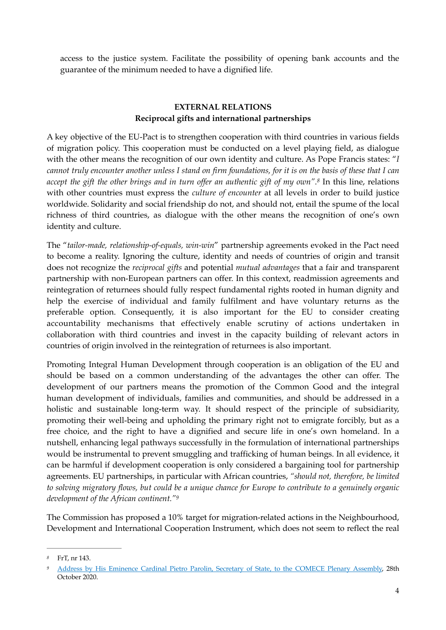access to the justice system. Facilitate the possibility of opening bank accounts and the guarantee of the minimum needed to have a dignified life.

### <span id="page-3-2"></span>**EXTERNAL RELATIONS Reciprocal gifts and international partnerships**

A key objective of the EU-Pact is to strengthen cooperation with third countries in various fields of migration policy. This cooperation must be conducted on a level playing field, as dialogue with the other means the recognition of our own identity and culture. As Pope Francis states: "*I cannot truly encounter another unless I stand on firm foundations, for it is on the basis of these that I can*  accept the gift the other brings and in turn offer an authentic gift of my own".<sup>[8](#page-3-0)</sup> In this line, relations with other countries must express the *culture of encounter* at all levels in order to build justice worldwide. Solidarity and social friendship do not, and should not, entail the spume of the local richness of third countries, as dialogue with the other means the recognition of one's own identity and culture.

The "*tailor-made, relationship-of-equals, win-win*" partnership agreements evoked in the Pact need to become a reality. Ignoring the culture, identity and needs of countries of origin and transit does not recognize the *reciprocal gifts* and potential *mutual advantages* that a fair and transparent partnership with non-European partners can offer. In this context, readmission agreements and reintegration of returnees should fully respect fundamental rights rooted in human dignity and help the exercise of individual and family fulfilment and have voluntary returns as the preferable option. Consequently, it is also important for the EU to consider creating accountability mechanisms that effectively enable scrutiny of actions undertaken in collaboration with third countries and invest in the capacity building of relevant actors in countries of origin involved in the reintegration of returnees is also important.

Promoting Integral Human Development through cooperation is an obligation of the EU and should be based on a common understanding of the advantages the other can offer. The development of our partners means the promotion of the Common Good and the integral human development of individuals, families and communities, and should be addressed in a holistic and sustainable long-term way. It should respect of the principle of subsidiarity, promoting their well-being and upholding the primary right not to emigrate forcibly, but as a free choice, and the right to have a dignified and secure life in one's own homeland. In a nutshell, enhancing legal pathways successfully in the formulation of international partnerships would be instrumental to prevent smuggling and trafficking of human beings. In all evidence, it can be harmful if development cooperation is only considered a bargaining tool for partnership agreements. EU partnerships, in particular with African countries, *"should not, therefore, be limited to solving migratory flows, but could be a unique chance for Europe to contribute to a genuinely organic development of the African continent."[9](#page-3-1)*

<span id="page-3-3"></span>The Commission has proposed a 10% target for migration-related actions in the Neighbourhood, Development and International Cooperation Instrument, which does not seem to reflect the real

<span id="page-3-0"></span>FrT, nr 143. *[8](#page-3-2)*

<span id="page-3-1"></span>[Address by His Eminence Cardinal Pietro Parolin, Secretary of State, to the COMECE Plenary Assembly,](http://www.comece.eu/dl/MNopJKJKkKMOJqx4lJK/Parolin_ComECE_40_years.pdf?ts=1604499060) 28th *[9](#page-3-3)* October 2020.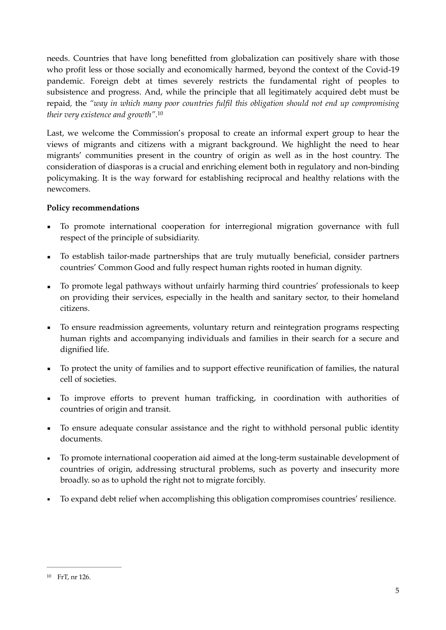needs. Countries that have long benefitted from globalization can positively share with those who profit less or those socially and economically harmed, beyond the context of the Covid-19 pandemic. Foreign debt at times severely restricts the fundamental right of peoples to subsistence and progress. And, while the principle that all legitimately acquired debt must be repaid*,* the *"way in which many poor countries fulfil this obligation should not end up compromising their very existence and growth"*[.10](#page-4-0)

<span id="page-4-1"></span>Last, we welcome the Commission's proposal to create an informal expert group to hear the views of migrants and citizens with a migrant background. We highlight the need to hear migrants' communities present in the country of origin as well as in the host country. The consideration of diasporas is a crucial and enriching element both in regulatory and non-binding policymaking. It is the way forward for establishing reciprocal and healthy relations with the newcomers.

### **Policy recommendations**

- To promote international cooperation for interregional migration governance with full respect of the principle of subsidiarity.
- To establish tailor-made partnerships that are truly mutually beneficial, consider partners countries' Common Good and fully respect human rights rooted in human dignity.
- To promote legal pathways without unfairly harming third countries' professionals to keep on providing their services, especially in the health and sanitary sector, to their homeland citizens.
- To ensure readmission agreements, voluntary return and reintegration programs respecting human rights and accompanying individuals and families in their search for a secure and dignified life.
- To protect the unity of families and to support effective reunification of families, the natural cell of societies.
- To improve efforts to prevent human trafficking, in coordination with authorities of countries of origin and transit.
- To ensure adequate consular assistance and the right to withhold personal public identity documents.
- To promote international cooperation aid aimed at the long-term sustainable development of countries of origin, addressing structural problems, such as poverty and insecurity more broadly. so as to uphold the right not to migrate forcibly.
- To expand debt relief when accomplishing this obligation compromises countries' resilience.

<span id="page-4-0"></span><sup>&</sup>lt;sup>[10](#page-4-1)</sup> FrT, nr 126.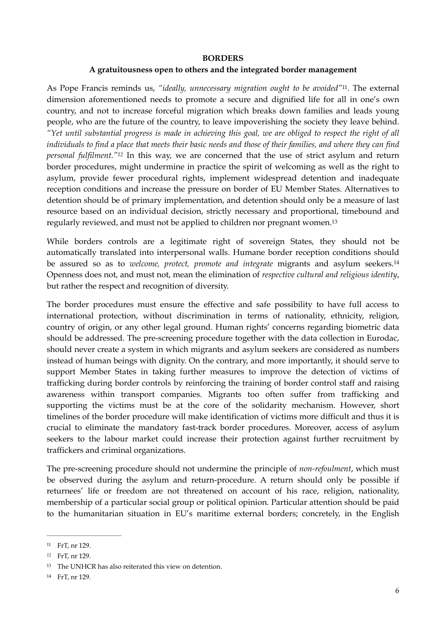#### <span id="page-5-7"></span><span id="page-5-6"></span><span id="page-5-4"></span>**BORDERS**

#### <span id="page-5-5"></span>**A gratuitousness open to others and the integrated border management**

As Pope Francis reminds us, "ideally, unnecessary migration ought to be avoided"<sup>[11](#page-5-0)</sup>. The external dimension aforementioned needs to promote a secure and dignified life for all in one's own country, and not to increase forceful migration which breaks down families and leads young people, who are the future of the country, to leave impoverishing the society they leave behind. *"Yet until substantial progress is made in achieving this goal, we are obliged to respect the right of all individuals to find a place that meets their basic needs and those of their families, and where they can find personal fulfilment."*<sup>[12](#page-5-1)</sup> In this way, we are concerned that the use of strict asylum and return border procedures, might undermine in practice the spirit of welcoming as well as the right to asylum, provide fewer procedural rights, implement widespread detention and inadequate reception conditions and increase the pressure on border of EU Member States. Alternatives to detention should be of primary implementation, and detention should only be a measure of last resource based on an individual decision, strictly necessary and proportional, timebound and regularly reviewed, and must not be applied to children nor pregnant women. [13](#page-5-2)

While borders controls are a legitimate right of sovereign States, they should not be automatically translated into interpersonal walls. Humane border reception conditions should be assured so as to *welcome, protect, promote and integrate* migrants and asylum seekers[.14](#page-5-3) Openness does not, and must not, mean the elimination of *respective cultural and religious identity*, but rather the respect and recognition of diversity.

The border procedures must ensure the effective and safe possibility to have full access to international protection, without discrimination in terms of nationality, ethnicity, religion, country of origin, or any other legal ground. Human rights' concerns regarding biometric data should be addressed. The pre-screening procedure together with the data collection in Eurodac, should never create a system in which migrants and asylum seekers are considered as numbers instead of human beings with dignity. On the contrary, and more importantly, it should serve to support Member States in taking further measures to improve the detection of victims of trafficking during border controls by reinforcing the training of border control staff and raising awareness within transport companies. Migrants too often suffer from trafficking and supporting the victims must be at the core of the solidarity mechanism. However, short timelines of the border procedure will make identification of victims more difficult and thus it is crucial to eliminate the mandatory fast-track border procedures. Moreover, access of asylum seekers to the labour market could increase their protection against further recruitment by traffickers and criminal organizations.

The pre-screening procedure should not undermine the principle of *non-refoulment*, which must be observed during the asylum and return-procedure. A return should only be possible if returnees' life or freedom are not threatened on account of his race, religion, nationality, membership of a particular social group or political opinion. Particular attention should be paid to the humanitarian situation in EU's maritime external borders; concretely, in the English

<span id="page-5-0"></span>FrT, nr 129. [11](#page-5-4)

<span id="page-5-1"></span>FrT, nr 129. *[12](#page-5-5)*

<span id="page-5-2"></span><sup>&</sup>lt;sup>[13](#page-5-6)</sup> The UNHCR has also reiterated this view on detention.

<span id="page-5-3"></span>[<sup>14</sup>](#page-5-7) FrT, nr 129.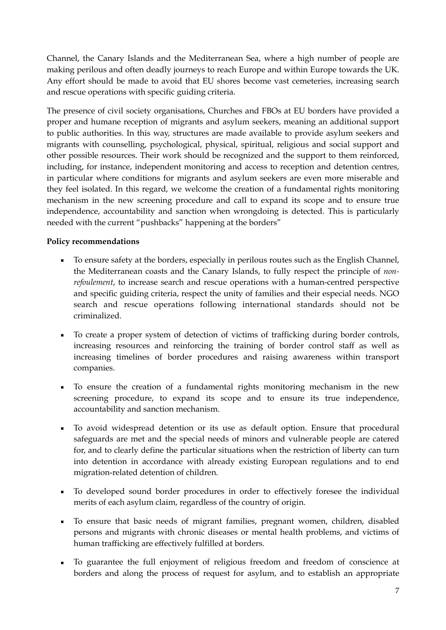Channel, the Canary Islands and the Mediterranean Sea, where a high number of people are making perilous and often deadly journeys to reach Europe and within Europe towards the UK. Any effort should be made to avoid that EU shores become vast cemeteries, increasing search and rescue operations with specific guiding criteria.

The presence of civil society organisations, Churches and FBOs at EU borders have provided a proper and humane reception of migrants and asylum seekers, meaning an additional support to public authorities. In this way, structures are made available to provide asylum seekers and migrants with counselling, psychological, physical, spiritual, religious and social support and other possible resources. Their work should be recognized and the support to them reinforced, including, for instance, independent monitoring and access to reception and detention centres, in particular where conditions for migrants and asylum seekers are even more miserable and they feel isolated. In this regard, we welcome the creation of a fundamental rights monitoring mechanism in the new screening procedure and call to expand its scope and to ensure true independence, accountability and sanction when wrongdoing is detected. This is particularly needed with the current "pushbacks" happening at the borders"

### **Policy recommendations**

- To ensure safety at the borders, especially in perilous routes such as the English Channel, the Mediterranean coasts and the Canary Islands, to fully respect the principle of *nonrefoulement*, to increase search and rescue operations with a human-centred perspective and specific guiding criteria, respect the unity of families and their especial needs. NGO search and rescue operations following international standards should not be criminalized.
- To create a proper system of detection of victims of trafficking during border controls, increasing resources and reinforcing the training of border control staff as well as increasing timelines of border procedures and raising awareness within transport companies.
- To ensure the creation of a fundamental rights monitoring mechanism in the new screening procedure, to expand its scope and to ensure its true independence, accountability and sanction mechanism.
- To avoid widespread detention or its use as default option. Ensure that procedural safeguards are met and the special needs of minors and vulnerable people are catered for, and to clearly define the particular situations when the restriction of liberty can turn into detention in accordance with already existing European regulations and to end migration-related detention of children.
- To developed sound border procedures in order to effectively foresee the individual merits of each asylum claim, regardless of the country of origin.
- To ensure that basic needs of migrant families, pregnant women, children, disabled persons and migrants with chronic diseases or mental health problems, and victims of human trafficking are effectively fulfilled at borders.
- To guarantee the full enjoyment of religious freedom and freedom of conscience at borders and along the process of request for asylum, and to establish an appropriate